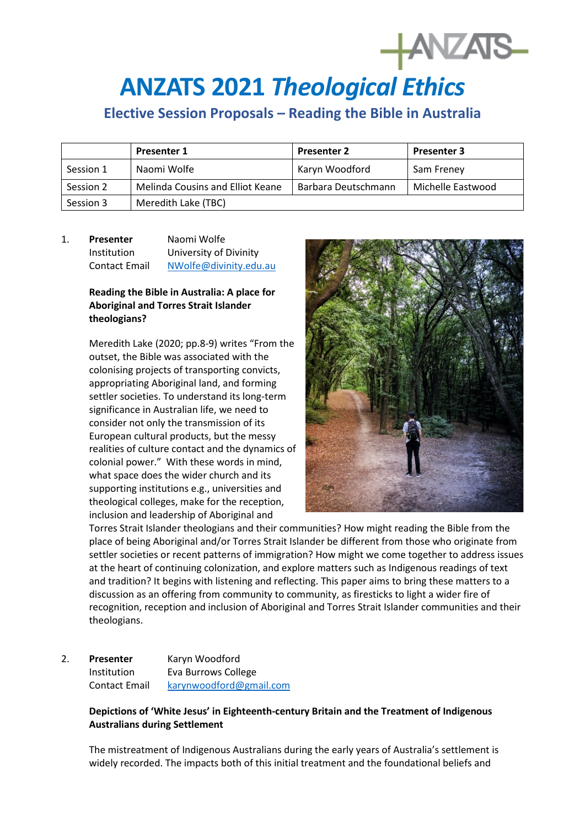# **ANZATS 2021** *Theological Ethics*

# **Elective Session Proposals – Reading the Bible in Australia**

|           | <b>Presenter 1</b>               | <b>Presenter 2</b>  | <b>Presenter 3</b> |
|-----------|----------------------------------|---------------------|--------------------|
| Session 1 | Naomi Wolfe                      | Karyn Woodford      | Sam Freney         |
| Session 2 | Melinda Cousins and Elliot Keane | Barbara Deutschmann | Michelle Eastwood  |
| Session 3 | Meredith Lake (TBC)              |                     |                    |

#### 1. **Presenter** Naomi Wolfe Institution University of Divinity Contact Email [NWolfe@divinity.edu.au](mailto:NWolfe@divinity.edu.au)

#### **Reading the Bible in Australia: A place for Aboriginal and Torres Strait Islander theologians?**

Meredith Lake (2020; pp.8-9) writes "From the outset, the Bible was associated with the colonising projects of transporting convicts, appropriating Aboriginal land, and forming settler societies. To understand its long-term significance in Australian life, we need to consider not only the transmission of its European cultural products, but the messy realities of culture contact and the dynamics of colonial power." With these words in mind, what space does the wider church and its supporting institutions e.g., universities and theological colleges, make for the reception, inclusion and leadership of Aboriginal and



**HANZAIS** 

Torres Strait Islander theologians and their communities? How might reading the Bible from the place of being Aboriginal and/or Torres Strait Islander be different from those who originate from settler societies or recent patterns of immigration? How might we come together to address issues at the heart of continuing colonization, and explore matters such as Indigenous readings of text and tradition? It begins with listening and reflecting. This paper aims to bring these matters to a discussion as an offering from community to community, as firesticks to light a wider fire of recognition, reception and inclusion of Aboriginal and Torres Strait Islander communities and their theologians.

### 2. **Presenter** Karyn Woodford Institution Eva Burrows College Contact Email [karynwoodford@gmail.com](mailto:karynwoodford@gmail.com)

#### **Depictions of 'White Jesus' in Eighteenth-century Britain and the Treatment of Indigenous Australians during Settlement**

The mistreatment of Indigenous Australians during the early years of Australia's settlement is widely recorded. The impacts both of this initial treatment and the foundational beliefs and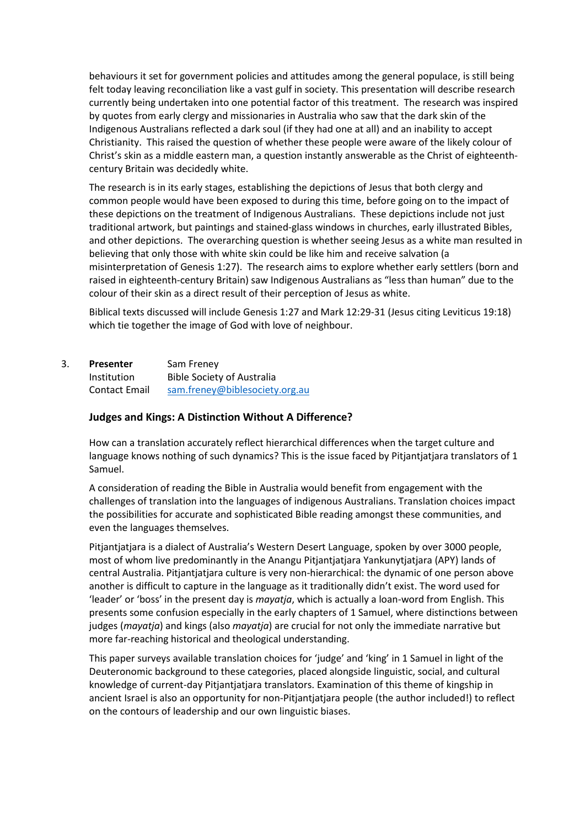behaviours it set for government policies and attitudes among the general populace, is still being felt today leaving reconciliation like a vast gulf in society. This presentation will describe research currently being undertaken into one potential factor of this treatment. The research was inspired by quotes from early clergy and missionaries in Australia who saw that the dark skin of the Indigenous Australians reflected a dark soul (if they had one at all) and an inability to accept Christianity. This raised the question of whether these people were aware of the likely colour of Christ's skin as a middle eastern man, a question instantly answerable as the Christ of eighteenthcentury Britain was decidedly white.

The research is in its early stages, establishing the depictions of Jesus that both clergy and common people would have been exposed to during this time, before going on to the impact of these depictions on the treatment of Indigenous Australians. These depictions include not just traditional artwork, but paintings and stained-glass windows in churches, early illustrated Bibles, and other depictions. The overarching question is whether seeing Jesus as a white man resulted in believing that only those with white skin could be like him and receive salvation (a misinterpretation of Genesis 1:27). The research aims to explore whether early settlers (born and raised in eighteenth-century Britain) saw Indigenous Australians as "less than human" due to the colour of their skin as a direct result of their perception of Jesus as white.

Biblical texts discussed will include Genesis 1:27 and Mark 12:29-31 (Jesus citing Leviticus 19:18) which tie together the image of God with love of neighbour.

3. **Presenter** Sam Freney Institution Bible Society of Australia Contact Email [sam.freney@biblesociety.org.au](mailto:sam.freney@biblesociety.org.au)

#### **Judges and Kings: A Distinction Without A Difference?**

How can a translation accurately reflect hierarchical differences when the target culture and language knows nothing of such dynamics? This is the issue faced by Pitjantjatjara translators of 1 Samuel.

A consideration of reading the Bible in Australia would benefit from engagement with the challenges of translation into the languages of indigenous Australians. Translation choices impact the possibilities for accurate and sophisticated Bible reading amongst these communities, and even the languages themselves.

Pitjantjatjara is a dialect of Australia's Western Desert Language, spoken by over 3000 people, most of whom live predominantly in the Anangu Pitjantjatjara Yankunytjatjara (APY) lands of central Australia. Pitjantjatjara culture is very non-hierarchical: the dynamic of one person above another is difficult to capture in the language as it traditionally didn't exist. The word used for 'leader' or 'boss' in the present day is *mayatja*, which is actually a loan-word from English. This presents some confusion especially in the early chapters of 1 Samuel, where distinctions between judges (*mayatja*) and kings (also *mayatja*) are crucial for not only the immediate narrative but more far-reaching historical and theological understanding.

This paper surveys available translation choices for 'judge' and 'king' in 1 Samuel in light of the Deuteronomic background to these categories, placed alongside linguistic, social, and cultural knowledge of current-day Pitjantjatjara translators. Examination of this theme of kingship in ancient Israel is also an opportunity for non-Pitjantjatjara people (the author included!) to reflect on the contours of leadership and our own linguistic biases.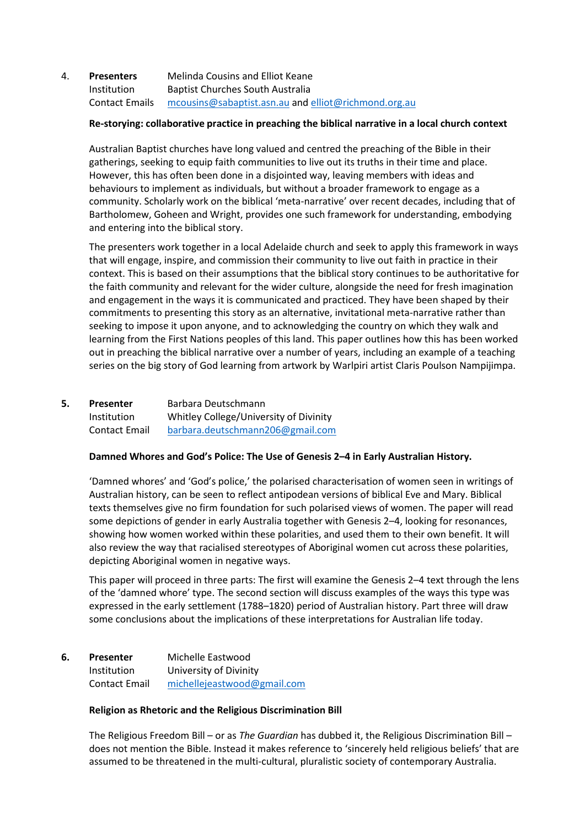#### 4. **Presenters** Melinda Cousins and Elliot Keane Institution Baptist Churches South Australia Contact Emails [mcousins@sabaptist.asn.au](mailto:mcousins@sabaptist.asn.au) an[d elliot@richmond.org.au](mailto:elliot@richmond.org.au)

#### **Re-storying: collaborative practice in preaching the biblical narrative in a local church context**

Australian Baptist churches have long valued and centred the preaching of the Bible in their gatherings, seeking to equip faith communities to live out its truths in their time and place. However, this has often been done in a disjointed way, leaving members with ideas and behaviours to implement as individuals, but without a broader framework to engage as a community. Scholarly work on the biblical 'meta-narrative' over recent decades, including that of Bartholomew, Goheen and Wright, provides one such framework for understanding, embodying and entering into the biblical story.

The presenters work together in a local Adelaide church and seek to apply this framework in ways that will engage, inspire, and commission their community to live out faith in practice in their context. This is based on their assumptions that the biblical story continues to be authoritative for the faith community and relevant for the wider culture, alongside the need for fresh imagination and engagement in the ways it is communicated and practiced. They have been shaped by their commitments to presenting this story as an alternative, invitational meta-narrative rather than seeking to impose it upon anyone, and to acknowledging the country on which they walk and learning from the First Nations peoples of this land. This paper outlines how this has been worked out in preaching the biblical narrative over a number of years, including an example of a teaching series on the big story of God learning from artwork by Warlpiri artist Claris Poulson Nampijimpa.

## **5.** Presenter Barbara Deutschmann Institution Whitley College/University of Divinity Contact Email [barbara.deutschmann206@gmail.com](mailto:barbara.deutschmann206@gmail.com)

#### **Damned Whores and God's Police: The Use of Genesis 2–4 in Early Australian History.**

'Damned whores' and 'God's police,' the polarised characterisation of women seen in writings of Australian history, can be seen to reflect antipodean versions of biblical Eve and Mary. Biblical texts themselves give no firm foundation for such polarised views of women. The paper will read some depictions of gender in early Australia together with Genesis 2–4, looking for resonances, showing how women worked within these polarities, and used them to their own benefit. It will also review the way that racialised stereotypes of Aboriginal women cut across these polarities, depicting Aboriginal women in negative ways.

This paper will proceed in three parts: The first will examine the Genesis 2–4 text through the lens of the 'damned whore' type. The second section will discuss examples of the ways this type was expressed in the early settlement (1788–1820) period of Australian history. Part three will draw some conclusions about the implications of these interpretations for Australian life today.

#### **6. Presenter** Michelle Eastwood Institution University of Divinity Contact Email [michellejeastwood@gmail.com](mailto:michellejeastwood@gmail.com)

#### **Religion as Rhetoric and the Religious Discrimination Bill**

The Religious Freedom Bill – or as *The Guardian* has dubbed it, the Religious Discrimination Bill – does not mention the Bible. Instead it makes reference to 'sincerely held religious beliefs' that are assumed to be threatened in the multi-cultural, pluralistic society of contemporary Australia.